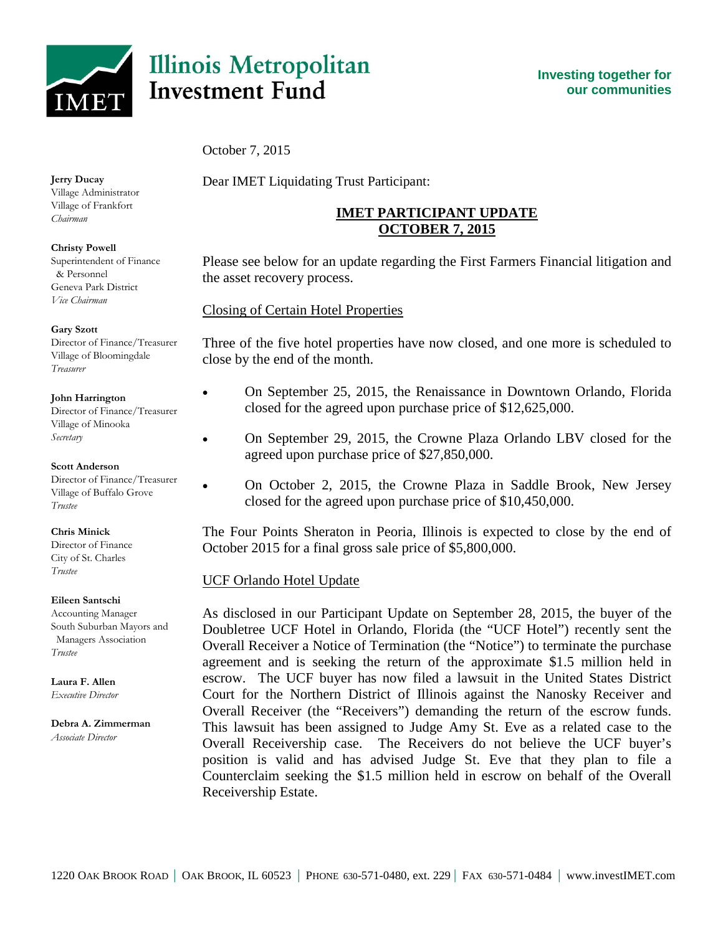

**Investing together for our communities**

October 7, 2015

#### **Jerry Ducay**

Village Administrator Village of Frankfort *Chairman*

#### **Christy Powell**

Superintendent of Finance & Personnel Geneva Park District *Vice Chairman*

#### **Gary Szott**

Director of Finance/Treasurer Village of Bloomingdale *Treasurer*

### **John Harrington**

Director of Finance/Treasurer Village of Minooka *Secretary*

### **Scott Anderson**

Director of Finance/Treasurer Village of Buffalo Grove *Trustee*

#### **Chris Minick**

Director of Finance City of St. Charles *Trustee*

### **Eileen Santschi**

Accounting Manager South Suburban Mayors and Managers Association *Trustee*

**Laura F. Allen** *Executive Director*

#### **Debra A. Zimmerman** *Associate Director*

Dear IMET Liquidating Trust Participant:

# **IMET PARTICIPANT UPDATE OCTOBER 7, 2015**

Please see below for an update regarding the First Farmers Financial litigation and the asset recovery process.

## Closing of Certain Hotel Properties

Three of the five hotel properties have now closed, and one more is scheduled to close by the end of the month.

- On September 25, 2015, the Renaissance in Downtown Orlando, Florida closed for the agreed upon purchase price of \$12,625,000.
- On September 29, 2015, the Crowne Plaza Orlando LBV closed for the agreed upon purchase price of \$27,850,000.
- On October 2, 2015, the Crowne Plaza in Saddle Brook, New Jersey closed for the agreed upon purchase price of \$10,450,000.

The Four Points Sheraton in Peoria, Illinois is expected to close by the end of October 2015 for a final gross sale price of \$5,800,000.

## UCF Orlando Hotel Update

As disclosed in our Participant Update on September 28, 2015, the buyer of the Doubletree UCF Hotel in Orlando, Florida (the "UCF Hotel") recently sent the Overall Receiver a Notice of Termination (the "Notice") to terminate the purchase agreement and is seeking the return of the approximate \$1.5 million held in escrow. The UCF buyer has now filed a lawsuit in the United States District Court for the Northern District of Illinois against the Nanosky Receiver and Overall Receiver (the "Receivers") demanding the return of the escrow funds. This lawsuit has been assigned to Judge Amy St. Eve as a related case to the Overall Receivership case. The Receivers do not believe the UCF buyer's position is valid and has advised Judge St. Eve that they plan to file a Counterclaim seeking the \$1.5 million held in escrow on behalf of the Overall Receivership Estate.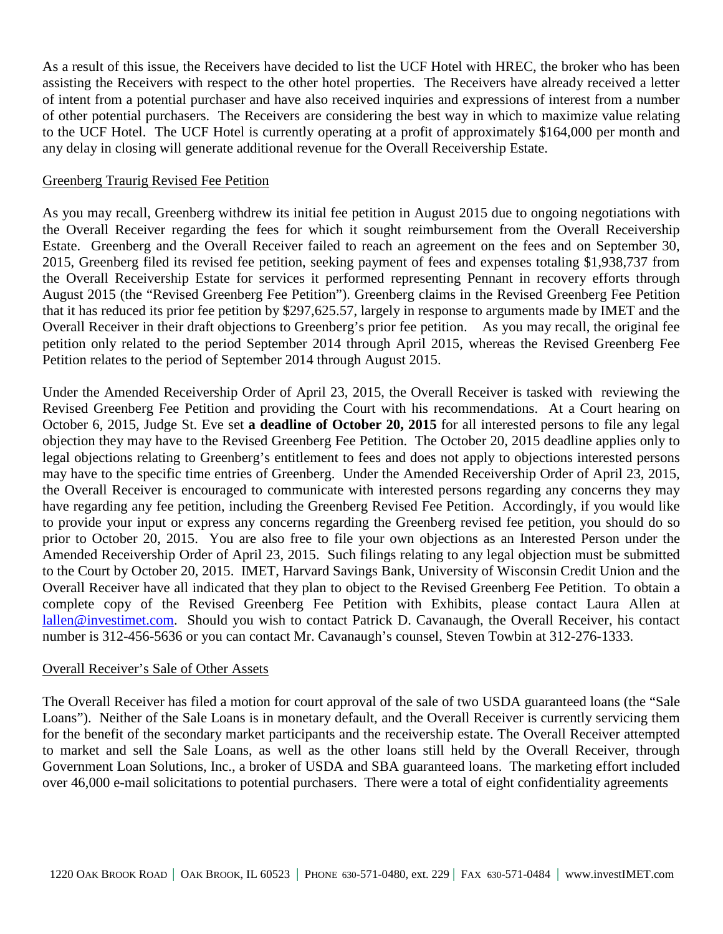As a result of this issue, the Receivers have decided to list the UCF Hotel with HREC, the broker who has been assisting the Receivers with respect to the other hotel properties. The Receivers have already received a letter of intent from a potential purchaser and have also received inquiries and expressions of interest from a number of other potential purchasers. The Receivers are considering the best way in which to maximize value relating to the UCF Hotel. The UCF Hotel is currently operating at a profit of approximately \$164,000 per month and any delay in closing will generate additional revenue for the Overall Receivership Estate.

## Greenberg Traurig Revised Fee Petition

As you may recall, Greenberg withdrew its initial fee petition in August 2015 due to ongoing negotiations with the Overall Receiver regarding the fees for which it sought reimbursement from the Overall Receivership Estate. Greenberg and the Overall Receiver failed to reach an agreement on the fees and on September 30, 2015, Greenberg filed its revised fee petition, seeking payment of fees and expenses totaling \$1,938,737 from the Overall Receivership Estate for services it performed representing Pennant in recovery efforts through August 2015 (the "Revised Greenberg Fee Petition"). Greenberg claims in the Revised Greenberg Fee Petition that it has reduced its prior fee petition by \$297,625.57, largely in response to arguments made by IMET and the Overall Receiver in their draft objections to Greenberg's prior fee petition. As you may recall, the original fee petition only related to the period September 2014 through April 2015, whereas the Revised Greenberg Fee Petition relates to the period of September 2014 through August 2015.

Under the Amended Receivership Order of April 23, 2015, the Overall Receiver is tasked with reviewing the Revised Greenberg Fee Petition and providing the Court with his recommendations. At a Court hearing on October 6, 2015, Judge St. Eve set **a deadline of October 20, 2015** for all interested persons to file any legal objection they may have to the Revised Greenberg Fee Petition. The October 20, 2015 deadline applies only to legal objections relating to Greenberg's entitlement to fees and does not apply to objections interested persons may have to the specific time entries of Greenberg. Under the Amended Receivership Order of April 23, 2015, the Overall Receiver is encouraged to communicate with interested persons regarding any concerns they may have regarding any fee petition, including the Greenberg Revised Fee Petition. Accordingly, if you would like to provide your input or express any concerns regarding the Greenberg revised fee petition, you should do so prior to October 20, 2015. You are also free to file your own objections as an Interested Person under the Amended Receivership Order of April 23, 2015. Such filings relating to any legal objection must be submitted to the Court by October 20, 2015. IMET, Harvard Savings Bank, University of Wisconsin Credit Union and the Overall Receiver have all indicated that they plan to object to the Revised Greenberg Fee Petition. To obtain a complete copy of the Revised Greenberg Fee Petition with Exhibits, please contact Laura Allen at [lallen@investimet.com.](mailto:lallen@investimet.com) Should you wish to contact Patrick D. Cavanaugh, the Overall Receiver, his contact number is 312-456-5636 or you can contact Mr. Cavanaugh's counsel, Steven Towbin at 312-276-1333.

### Overall Receiver's Sale of Other Assets

The Overall Receiver has filed a motion for court approval of the sale of two USDA guaranteed loans (the "Sale Loans"). Neither of the Sale Loans is in monetary default, and the Overall Receiver is currently servicing them for the benefit of the secondary market participants and the receivership estate. The Overall Receiver attempted to market and sell the Sale Loans, as well as the other loans still held by the Overall Receiver, through Government Loan Solutions, Inc., a broker of USDA and SBA guaranteed loans. The marketing effort included over 46,000 e-mail solicitations to potential purchasers. There were a total of eight confidentiality agreements